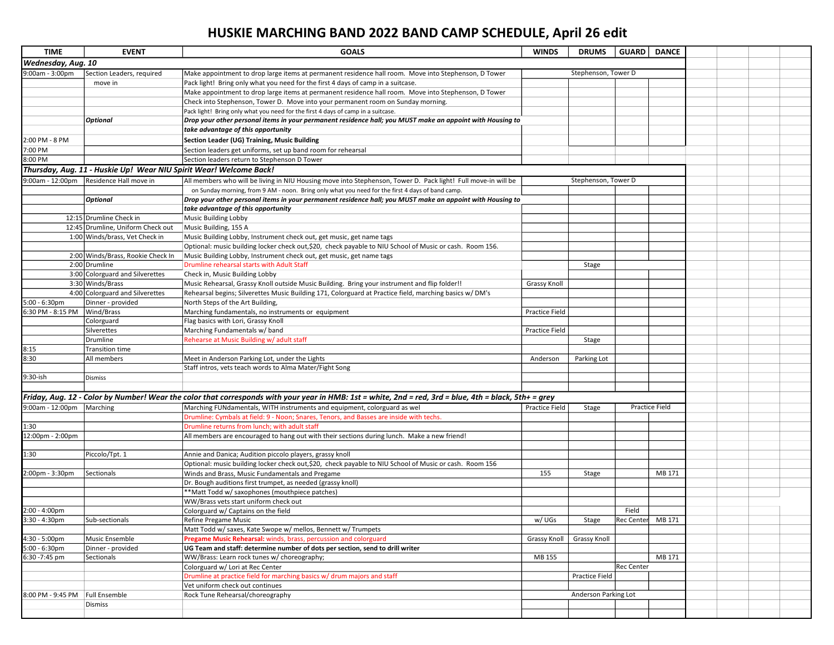## HUSKIE MARCHING BAND 2022 BAND CAMP SCHEDULE, April 26 edit

| <b>TIME</b>                                                                                                   | <b>EVENT</b>                      | <b>GOALS</b>                                                                                                                                           | <b>WINDS</b>          | <b>DRUMS</b>         | <b>GUARD</b>      | <b>DANCE</b>          |  |  |  |  |
|---------------------------------------------------------------------------------------------------------------|-----------------------------------|--------------------------------------------------------------------------------------------------------------------------------------------------------|-----------------------|----------------------|-------------------|-----------------------|--|--|--|--|
|                                                                                                               |                                   |                                                                                                                                                        |                       |                      |                   |                       |  |  |  |  |
| Wednesday, Aug. 10                                                                                            |                                   |                                                                                                                                                        |                       |                      |                   |                       |  |  |  |  |
| 9:00am - 3:00pm                                                                                               | Section Leaders, required         | Make appointment to drop large items at permanent residence hall room. Move into Stephenson, D Tower                                                   |                       | Stephenson, Tower D  |                   |                       |  |  |  |  |
|                                                                                                               | move in                           | Pack light! Bring only what you need for the first 4 days of camp in a suitcase.                                                                       |                       |                      |                   |                       |  |  |  |  |
|                                                                                                               |                                   | Make appointment to drop large items at permanent residence hall room. Move into Stephenson, D Tower                                                   |                       |                      |                   |                       |  |  |  |  |
|                                                                                                               |                                   | Check into Stephenson, Tower D. Move into your permanent room on Sunday morning.                                                                       |                       |                      |                   |                       |  |  |  |  |
|                                                                                                               |                                   | Pack light! Bring only what you need for the first 4 days of camp in a suitcase.                                                                       |                       |                      |                   |                       |  |  |  |  |
|                                                                                                               | Optional                          | Drop your other personal items in your permanent residence hall; you MUST make an appoint with Housing to                                              |                       |                      |                   |                       |  |  |  |  |
|                                                                                                               |                                   | take advantage of this opportunity                                                                                                                     |                       |                      |                   |                       |  |  |  |  |
| 2:00 PM - 8 PM                                                                                                |                                   | Section Leader (UG) Training, Music Building                                                                                                           |                       |                      |                   |                       |  |  |  |  |
| 7:00 PM                                                                                                       |                                   | Section leaders get uniforms, set up band room for rehearsal                                                                                           |                       |                      |                   |                       |  |  |  |  |
| 8:00 PM                                                                                                       |                                   | lSection leaders return to Stephenson D Tower                                                                                                          |                       |                      |                   |                       |  |  |  |  |
|                                                                                                               |                                   |                                                                                                                                                        |                       |                      |                   |                       |  |  |  |  |
| Thursday, Aug. 11 - Huskie Up! Wear NIU Spirit Wear! Welcome Back!<br>Stephenson, Tower D<br>9:00am - 12:00pm |                                   |                                                                                                                                                        |                       |                      |                   |                       |  |  |  |  |
|                                                                                                               | Residence Hall move in            | All members who will be living in NIU Housing move into Stephenson, Tower D. Pack light! Full move-in will be                                          |                       |                      |                   |                       |  |  |  |  |
|                                                                                                               |                                   | on Sunday morning, from 9 AM - noon. Bring only what you need for the first 4 days of band camp.                                                       |                       |                      |                   |                       |  |  |  |  |
|                                                                                                               | <b>Optional</b>                   | Drop your other personal items in your permanent residence hall; you MUST make an appoint with Housing to                                              |                       |                      |                   |                       |  |  |  |  |
|                                                                                                               |                                   | take advantage of this opportunity                                                                                                                     |                       |                      |                   |                       |  |  |  |  |
|                                                                                                               | 12:15 Drumline Check in           | <b>Music Building Lobby</b>                                                                                                                            |                       |                      |                   |                       |  |  |  |  |
|                                                                                                               | 12:45 Drumline, Uniform Check out | Music Building, 155 A                                                                                                                                  |                       |                      |                   |                       |  |  |  |  |
|                                                                                                               | 1:00 Winds/brass, Vet Check in    | Music Building Lobby, Instrument check out, get music, get name tags                                                                                   |                       |                      |                   |                       |  |  |  |  |
|                                                                                                               |                                   | Optional: music building locker check out, \$20, check payable to NIU School of Music or cash. Room 156.                                               |                       |                      |                   |                       |  |  |  |  |
|                                                                                                               | 2:00 Winds/Brass, Rookie Check In | Music Building Lobby, Instrument check out, get music, get name tags                                                                                   |                       |                      |                   |                       |  |  |  |  |
|                                                                                                               | 2:00 Drumline                     | Drumline rehearsal starts with Adult Staff                                                                                                             |                       | Stage                |                   |                       |  |  |  |  |
|                                                                                                               | 3:00 Colorguard and Silverettes   | Check in, Music Building Lobby                                                                                                                         |                       |                      |                   |                       |  |  |  |  |
|                                                                                                               | 3:30 Winds/Brass                  | Music Rehearsal, Grassy Knoll outside Music Building. Bring your instrument and flip folder!!                                                          | Grassy Knoll          |                      |                   |                       |  |  |  |  |
|                                                                                                               | 4:00 Colorguard and Silverettes   | Rehearsal begins; Silverettes Music Building 171, Colorguard at Practice field, marching basics w/ DM's                                                |                       |                      |                   |                       |  |  |  |  |
| 5:00 - 6:30pm                                                                                                 | Dinner - provided                 | North Steps of the Art Building,                                                                                                                       |                       |                      |                   |                       |  |  |  |  |
| 6:30 PM - 8:15 PM                                                                                             | Wind/Brass                        | Marching fundamentals, no instruments or equipment                                                                                                     | Practice Field        |                      |                   |                       |  |  |  |  |
|                                                                                                               | Colorguard                        | Flag basics with Lori, Grassy Knoll                                                                                                                    |                       |                      |                   |                       |  |  |  |  |
|                                                                                                               | Silverettes                       | Marching Fundamentals w/ band                                                                                                                          | Practice Field        |                      |                   |                       |  |  |  |  |
|                                                                                                               | Drumline                          | Rehearse at Music Building w/adult staff                                                                                                               |                       | Stage                |                   |                       |  |  |  |  |
| 8:15                                                                                                          | Transition time                   |                                                                                                                                                        |                       |                      |                   |                       |  |  |  |  |
| 8:30                                                                                                          | All members                       | Meet in Anderson Parking Lot, under the Lights                                                                                                         | Anderson              | Parking Lot          |                   |                       |  |  |  |  |
|                                                                                                               |                                   | Staff intros, vets teach words to Alma Mater/Fight Song                                                                                                |                       |                      |                   |                       |  |  |  |  |
| 9:30-ish                                                                                                      | Dismiss                           |                                                                                                                                                        |                       |                      |                   |                       |  |  |  |  |
|                                                                                                               |                                   |                                                                                                                                                        |                       |                      |                   |                       |  |  |  |  |
|                                                                                                               |                                   |                                                                                                                                                        |                       |                      |                   |                       |  |  |  |  |
|                                                                                                               |                                   | Friday, Aug. 12 - Color by Number! Wear the color that corresponds with your year in HMB: 1st = white, 2nd = red, 3rd = blue, 4th = black, 5th+ = grey |                       |                      |                   |                       |  |  |  |  |
| 9:00am - 12:00pm Marching                                                                                     |                                   | Marching FUNdamentals, WITH instruments and equipment, colorguard as wel                                                                               | <b>Practice Field</b> | Stage                |                   | <b>Practice Field</b> |  |  |  |  |
|                                                                                                               |                                   | Drumline: Cymbals at field: 9 - Noon; Snares, Tenors, and Basses are inside with techs.                                                                |                       |                      |                   |                       |  |  |  |  |
| 1:30                                                                                                          |                                   | Drumline returns from lunch; with adult staff                                                                                                          |                       |                      |                   |                       |  |  |  |  |
| 12:00pm - 2:00pm                                                                                              |                                   | All members are encouraged to hang out with their sections during lunch. Make a new friend!                                                            |                       |                      |                   |                       |  |  |  |  |
|                                                                                                               |                                   |                                                                                                                                                        |                       |                      |                   |                       |  |  |  |  |
| 1:30                                                                                                          | Piccolo/Tpt. 1                    | Annie and Danica; Audition piccolo players, grassy knoll                                                                                               |                       |                      |                   |                       |  |  |  |  |
|                                                                                                               |                                   | Optional: music building locker check out, \$20, check payable to NIU School of Music or cash. Room 156                                                |                       |                      |                   |                       |  |  |  |  |
| 2:00pm - 3:30pm                                                                                               | Sectionals                        | Winds and Brass, Music Fundamentals and Pregame                                                                                                        | 155                   | Stage                |                   | MB 171                |  |  |  |  |
|                                                                                                               |                                   | Dr. Bough auditions first trumpet, as needed (grassy knoll)                                                                                            |                       |                      |                   |                       |  |  |  |  |
|                                                                                                               |                                   | *Matt Todd w/ saxophones (mouthpiece patches)                                                                                                          |                       |                      |                   |                       |  |  |  |  |
|                                                                                                               |                                   | WW/Brass vets start uniform check out                                                                                                                  |                       |                      |                   |                       |  |  |  |  |
| $2:00 - 4:00 \text{pm}$                                                                                       |                                   | Colorguard w/ Captains on the field                                                                                                                    |                       |                      | Field             |                       |  |  |  |  |
| 3:30 - 4:30pm                                                                                                 | Sub-sectionals                    | Refine Pregame Music                                                                                                                                   | w/UGs                 | Stage                | Rec Center MB 171 |                       |  |  |  |  |
|                                                                                                               |                                   | Matt Todd w/ saxes, Kate Swope w/ mellos, Bennett w/ Trumpets                                                                                          |                       |                      |                   |                       |  |  |  |  |
| 4:30 - 5:00pm                                                                                                 | Music Ensemble                    | Pregame Music Rehearsal: winds, brass, percussion and colorguard                                                                                       | <b>Grassy Knoll</b>   | <b>Grassy Knoll</b>  |                   |                       |  |  |  |  |
| $5:00 - 6:30$ pm                                                                                              | Dinner - provided                 | UG Team and staff: determine number of dots per section, send to drill writer                                                                          |                       |                      |                   |                       |  |  |  |  |
| 6:30 -7:45 pm                                                                                                 | Sectionals                        | WW/Brass: Learn rock tunes w/ choreography;                                                                                                            | MB 155                |                      |                   | MB 171                |  |  |  |  |
|                                                                                                               |                                   |                                                                                                                                                        |                       |                      | <b>Rec Center</b> |                       |  |  |  |  |
|                                                                                                               |                                   | Colorguard w/ Lori at Rec Center<br>Drumline at practice field for marching basics w/ drum majors and staff                                            |                       |                      |                   |                       |  |  |  |  |
|                                                                                                               |                                   |                                                                                                                                                        |                       | Practice Field       |                   |                       |  |  |  |  |
|                                                                                                               |                                   | Vet uniform check out continues                                                                                                                        |                       | Anderson Parking Lot |                   |                       |  |  |  |  |
| 8:00 PM - 9:45 PM Full Ensemble                                                                               |                                   | Rock Tune Rehearsal/choreography                                                                                                                       |                       |                      |                   |                       |  |  |  |  |
|                                                                                                               | Dismiss                           |                                                                                                                                                        |                       |                      |                   |                       |  |  |  |  |
|                                                                                                               |                                   |                                                                                                                                                        |                       |                      |                   |                       |  |  |  |  |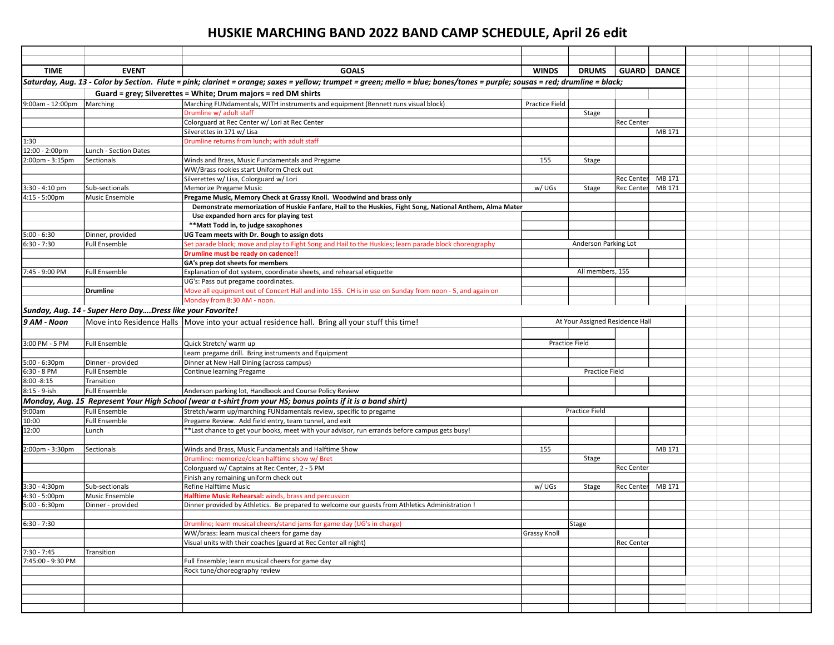## HUSKIE MARCHING BAND 2022 BAND CAMP SCHEDULE, April 26 edit

| <b>TIME</b>                                                    | <b>EVENT</b>                                                                                                 | <b>GOALS</b>                                                                                                                                                                | <b>WINDS</b>                    | <b>DRUMS</b>          | <b>GUARD</b>      | <b>DANCE</b> |  |  |
|----------------------------------------------------------------|--------------------------------------------------------------------------------------------------------------|-----------------------------------------------------------------------------------------------------------------------------------------------------------------------------|---------------------------------|-----------------------|-------------------|--------------|--|--|
|                                                                |                                                                                                              | Saturday, Aug. 13 - Color by Section. Flute = pink; clarinet = orange; saxes = yellow; trumpet = green; mello = blue; bones/tones = purple; sousas = red; drumline = black; |                                 |                       |                   |              |  |  |
| Guard = grey; Silverettes = White; Drum majors = red DM shirts |                                                                                                              |                                                                                                                                                                             |                                 |                       |                   |              |  |  |
| 9:00am - 12:00pm                                               | Marching                                                                                                     | Marching FUNdamentals, WITH instruments and equipment (Bennett runs visual block)                                                                                           | Practice Field                  |                       |                   |              |  |  |
|                                                                |                                                                                                              | Drumline w/ adult staff                                                                                                                                                     |                                 | Stage                 |                   |              |  |  |
|                                                                |                                                                                                              | Colorguard at Rec Center w/ Lori at Rec Center                                                                                                                              |                                 |                       | <b>Rec Center</b> |              |  |  |
|                                                                |                                                                                                              | Silverettes in 171 w/ Lisa                                                                                                                                                  |                                 |                       |                   | MB 171       |  |  |
| 1:30                                                           |                                                                                                              | Drumline returns from lunch; with adult staff                                                                                                                               |                                 |                       |                   |              |  |  |
| 12:00 - 2:00pm                                                 | Lunch - Section Dates                                                                                        |                                                                                                                                                                             |                                 |                       |                   |              |  |  |
| 2:00pm - 3:15pm                                                | Sectionals                                                                                                   | Winds and Brass, Music Fundamentals and Pregame                                                                                                                             | 155                             | Stage                 |                   |              |  |  |
|                                                                |                                                                                                              | WW/Brass rookies start Uniform Check out                                                                                                                                    |                                 |                       |                   |              |  |  |
|                                                                |                                                                                                              | Silverettes w/ Lisa, Colorguard w/ Lori                                                                                                                                     |                                 |                       | lRec Centerl      | MB 171       |  |  |
| 3:30 - 4:10 pm                                                 | Sub-sectionals                                                                                               | Memorize Pregame Music                                                                                                                                                      | w/UGs                           | Stage                 | <b>Rec Center</b> | MB 171       |  |  |
| 4:15 - 5:00pm                                                  | Music Ensemble                                                                                               | Pregame Music, Memory Check at Grassy Knoll. Woodwind and brass only                                                                                                        |                                 |                       |                   |              |  |  |
|                                                                |                                                                                                              | Demonstrate memorization of Huskie Fanfare, Hail to the Huskies, Fight Song, National Anthem, Alma Mater                                                                    |                                 |                       |                   |              |  |  |
|                                                                |                                                                                                              | Use expanded horn arcs for playing test                                                                                                                                     |                                 |                       |                   |              |  |  |
|                                                                |                                                                                                              | **Matt Todd in, to judge saxophones                                                                                                                                         |                                 |                       |                   |              |  |  |
| $5:00 - 6:30$                                                  | Dinner, provided                                                                                             | UG Team meets with Dr. Bough to assign dots                                                                                                                                 |                                 |                       |                   |              |  |  |
| $6:30 - 7:30$                                                  | Full Ensemble                                                                                                | Set parade block; move and play to Fight Song and Hail to the Huskies; learn parade block choreography                                                                      |                                 | Anderson Parking Lot  |                   |              |  |  |
|                                                                |                                                                                                              | Drumline must be ready on cadence!!                                                                                                                                         |                                 |                       |                   |              |  |  |
|                                                                |                                                                                                              | GA's prep dot sheets for members                                                                                                                                            |                                 |                       |                   |              |  |  |
| 7:45 - 9:00 PM                                                 | <b>Full Ensemble</b>                                                                                         | Explanation of dot system, coordinate sheets, and rehearsal etiquette                                                                                                       |                                 | All members, 155      |                   |              |  |  |
|                                                                |                                                                                                              | UG's: Pass out pregame coordinates.                                                                                                                                         |                                 |                       |                   |              |  |  |
|                                                                | <b>Drumline</b>                                                                                              | Move all equipment out of Concert Hall and into 155. CH is in use on Sunday from noon - 5, and again on<br>Monday from 8:30 AM - noon.                                      |                                 |                       |                   |              |  |  |
|                                                                |                                                                                                              |                                                                                                                                                                             |                                 |                       |                   |              |  |  |
|                                                                | Sunday, Aug. 14 - Super Hero DayDress like your Favorite!                                                    |                                                                                                                                                                             |                                 |                       |                   |              |  |  |
| 9 AM - Noon                                                    |                                                                                                              | Move into Residence Halls   Move into your actual residence hall. Bring all your stuff this time!                                                                           | At Your Assigned Residence Hall |                       |                   |              |  |  |
|                                                                |                                                                                                              |                                                                                                                                                                             |                                 |                       |                   |              |  |  |
| 3:00 PM - 5 PM                                                 | <b>Full Ensemble</b>                                                                                         | Quick Stretch/ warm up                                                                                                                                                      |                                 | <b>Practice Field</b> |                   |              |  |  |
|                                                                |                                                                                                              | Learn pregame drill. Bring instruments and Equipment                                                                                                                        |                                 |                       |                   |              |  |  |
| $5:00 - 6:30$ pm                                               | Dinner - provided                                                                                            | Dinner at New Hall Dining (across campus)                                                                                                                                   |                                 |                       |                   |              |  |  |
| 6:30 - 8 PM                                                    | <b>Full Ensemble</b>                                                                                         | Continue learning Pregame                                                                                                                                                   |                                 | Practice Field        |                   |              |  |  |
| $8:00 - 8:15$                                                  | Transition                                                                                                   |                                                                                                                                                                             |                                 |                       |                   |              |  |  |
| 8:15 - 9-ish                                                   | <b>Full Ensemble</b>                                                                                         | Anderson parking lot, Handbook and Course Policy Review                                                                                                                     |                                 |                       |                   |              |  |  |
|                                                                | Monday, Aug. 15 Represent Your High School (wear a t-shirt from your HS; bonus points if it is a band shirt) |                                                                                                                                                                             |                                 |                       |                   |              |  |  |
| 9:00am                                                         | <b>Full Ensemble</b>                                                                                         | Stretch/warm up/marching FUNdamentals review, specific to pregame                                                                                                           |                                 | <b>Practice Field</b> |                   |              |  |  |
| 10:00                                                          | <b>Full Ensemble</b>                                                                                         | Pregame Review. Add field entry, team tunnel, and exit                                                                                                                      |                                 |                       |                   |              |  |  |
| 12:00                                                          | Lunch                                                                                                        | *Last chance to get your books, meet with your advisor, run errands before campus gets busy!                                                                                |                                 |                       |                   |              |  |  |
|                                                                |                                                                                                              |                                                                                                                                                                             |                                 |                       |                   |              |  |  |
| 2:00pm - 3:30pm                                                | Sectionals                                                                                                   | Winds and Brass, Music Fundamentals and Halftime Show                                                                                                                       | 155                             |                       |                   | MB 171       |  |  |
|                                                                |                                                                                                              | Drumline: memorize/clean halftime show w/ Bret                                                                                                                              |                                 | Stage                 |                   |              |  |  |
|                                                                |                                                                                                              | Colorguard w/ Captains at Rec Center, 2 - 5 PM                                                                                                                              |                                 |                       | <b>Rec Center</b> |              |  |  |
|                                                                |                                                                                                              | Finish any remaining uniform check out                                                                                                                                      |                                 |                       |                   |              |  |  |
| $3:30 - 4:30pm$                                                | Sub-sectionals                                                                                               | Refine Halftime Music                                                                                                                                                       | w/UGs                           | Stage                 | <b>Rec Center</b> | MB 171       |  |  |
| 4:30 - 5:00pm                                                  | Music Ensemble                                                                                               | Halftime Music Rehearsal: winds, brass and percussion                                                                                                                       |                                 |                       |                   |              |  |  |
| $5:00 - 6:30$ pm                                               | Dinner - provided                                                                                            | Dinner provided by Athletics. Be prepared to welcome our guests from Athletics Administration !                                                                             |                                 |                       |                   |              |  |  |
|                                                                |                                                                                                              |                                                                                                                                                                             |                                 |                       |                   |              |  |  |
| $6:30 - 7:30$                                                  |                                                                                                              | Drumline; learn musical cheers/stand jams for game day (UG's in charge)<br>WW/brass: learn musical cheers for game day                                                      | <b>Grassy Knoll</b>             | Stage                 |                   |              |  |  |
|                                                                |                                                                                                              | Visual units with their coaches (guard at Rec Center all night)                                                                                                             |                                 |                       | Rec Center        |              |  |  |
| $7:30 - 7:45$                                                  | Transition                                                                                                   |                                                                                                                                                                             |                                 |                       |                   |              |  |  |
| 7:45:00 - 9:30 PM                                              |                                                                                                              | Full Ensemble; learn musical cheers for game day                                                                                                                            |                                 |                       |                   |              |  |  |
|                                                                |                                                                                                              | Rock tune/choreography review                                                                                                                                               |                                 |                       |                   |              |  |  |
|                                                                |                                                                                                              |                                                                                                                                                                             |                                 |                       |                   |              |  |  |
|                                                                |                                                                                                              |                                                                                                                                                                             |                                 |                       |                   |              |  |  |
|                                                                |                                                                                                              |                                                                                                                                                                             |                                 |                       |                   |              |  |  |
|                                                                |                                                                                                              |                                                                                                                                                                             |                                 |                       |                   |              |  |  |